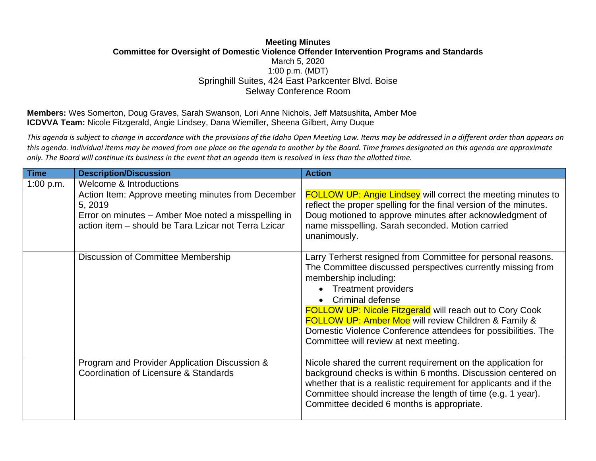## **Meeting Minutes Committee for Oversight of Domestic Violence Offender Intervention Programs and Standards** March 5, 2020 1:00 p.m. (MDT) Springhill Suites, 424 East Parkcenter Blvd. Boise Selway Conference Room

**Members:** Wes Somerton, Doug Graves, Sarah Swanson, Lori Anne Nichols, Jeff Matsushita, Amber Moe **ICDVVA Team:** Nicole Fitzgerald, Angie Lindsey, Dana Wiemiller, Sheena Gilbert, Amy Duque

*This agenda is subject to change in accordance with the provisions of the Idaho Open Meeting Law. Items may be addressed in a different order than appears on this agenda. Individual items may be moved from one place on the agenda to another by the Board. Time frames designated on this agenda are approximate only. The Board will continue its business in the event that an agenda item is resolved in less than the allotted time.*

| Time      | <b>Description/Discussion</b>                                                                                                                                                | <b>Action</b>                                                                                                                                                                                                                                                                                                                                                                                                                                |
|-----------|------------------------------------------------------------------------------------------------------------------------------------------------------------------------------|----------------------------------------------------------------------------------------------------------------------------------------------------------------------------------------------------------------------------------------------------------------------------------------------------------------------------------------------------------------------------------------------------------------------------------------------|
| 1:00 p.m. | Welcome & Introductions                                                                                                                                                      |                                                                                                                                                                                                                                                                                                                                                                                                                                              |
|           | Action Item: Approve meeting minutes from December<br>5, 2019<br>Error on minutes – Amber Moe noted a misspelling in<br>action item - should be Tara Lzicar not Terra Lzicar | <b>FOLLOW UP: Angie Lindsey will correct the meeting minutes to</b><br>reflect the proper spelling for the final version of the minutes.<br>Doug motioned to approve minutes after acknowledgment of<br>name misspelling. Sarah seconded. Motion carried<br>unanimously.                                                                                                                                                                     |
|           | Discussion of Committee Membership                                                                                                                                           | Larry Terherst resigned from Committee for personal reasons.<br>The Committee discussed perspectives currently missing from<br>membership including:<br><b>Treatment providers</b><br>Criminal defense<br><b>FOLLOW UP: Nicole Fitzgerald will reach out to Cory Cook</b><br>FOLLOW UP: Amber Moe will review Children & Family &<br>Domestic Violence Conference attendees for possibilities. The<br>Committee will review at next meeting. |
|           | Program and Provider Application Discussion &<br>Coordination of Licensure & Standards                                                                                       | Nicole shared the current requirement on the application for<br>background checks is within 6 months. Discussion centered on<br>whether that is a realistic requirement for applicants and if the<br>Committee should increase the length of time (e.g. 1 year).<br>Committee decided 6 months is appropriate.                                                                                                                               |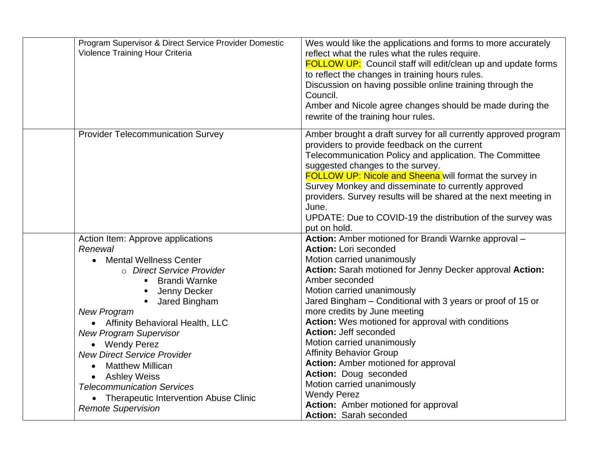| Program Supervisor & Direct Service Provider Domestic<br>Violence Training Hour Criteria                                                                                                                                                                                                                                                                                                                                                                                                                                               | Wes would like the applications and forms to more accurately<br>reflect what the rules what the rules require.<br><b>FOLLOW UP:</b> Council staff will edit/clean up and update forms<br>to reflect the changes in training hours rules.<br>Discussion on having possible online training through the<br>Council.<br>Amber and Nicole agree changes should be made during the<br>rewrite of the training hour rules.                                                                                                                                                                                                                        |
|----------------------------------------------------------------------------------------------------------------------------------------------------------------------------------------------------------------------------------------------------------------------------------------------------------------------------------------------------------------------------------------------------------------------------------------------------------------------------------------------------------------------------------------|---------------------------------------------------------------------------------------------------------------------------------------------------------------------------------------------------------------------------------------------------------------------------------------------------------------------------------------------------------------------------------------------------------------------------------------------------------------------------------------------------------------------------------------------------------------------------------------------------------------------------------------------|
| <b>Provider Telecommunication Survey</b>                                                                                                                                                                                                                                                                                                                                                                                                                                                                                               | Amber brought a draft survey for all currently approved program<br>providers to provide feedback on the current<br>Telecommunication Policy and application. The Committee<br>suggested changes to the survey.<br>FOLLOW UP: Nicole and Sheena will format the survey in<br>Survey Monkey and disseminate to currently approved<br>providers. Survey results will be shared at the next meeting in<br>June.<br>UPDATE: Due to COVID-19 the distribution of the survey was<br>put on hold.                                                                                                                                                   |
| Action Item: Approve applications<br>Renewal<br><b>Mental Wellness Center</b><br>$\bullet$<br>o Direct Service Provider<br><b>Brandi Warnke</b><br>$\blacksquare$<br>Jenny Decker<br>Jared Bingham<br>$\blacksquare$<br><b>New Program</b><br>• Affinity Behavioral Health, LLC<br><b>New Program Supervisor</b><br>• Wendy Perez<br><b>New Direct Service Provider</b><br><b>Matthew Millican</b><br><b>Ashley Weiss</b><br><b>Telecommunication Services</b><br>• Therapeutic Intervention Abuse Clinic<br><b>Remote Supervision</b> | Action: Amber motioned for Brandi Warnke approval -<br><b>Action: Lori seconded</b><br>Motion carried unanimously<br>Action: Sarah motioned for Jenny Decker approval Action:<br>Amber seconded<br>Motion carried unanimously<br>Jared Bingham - Conditional with 3 years or proof of 15 or<br>more credits by June meeting<br>Action: Wes motioned for approval with conditions<br>Action: Jeff seconded<br>Motion carried unanimously<br><b>Affinity Behavior Group</b><br><b>Action:</b> Amber motioned for approval<br>Action: Doug seconded<br>Motion carried unanimously<br><b>Wendy Perez</b><br>Action: Amber motioned for approval |